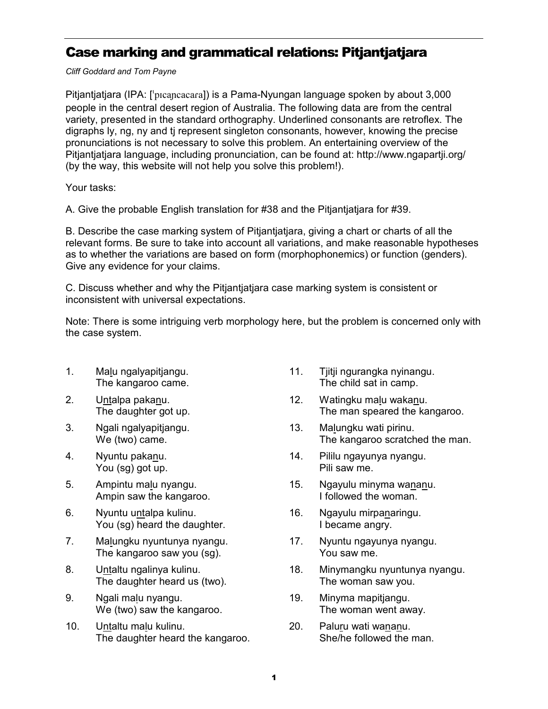## Case marking and grammatical relations: Pitjantjatjara

Cliff Goddard and Tom Payne

Pitjantjatjara (IPA: [ˈpɪcaɲcacaɾa]) is a Pama-Nyungan language spoken by about 3,000 people in the central desert region of Australia. The following data are from the central variety, presented in the standard orthography. Underlined consonants are retroflex. The digraphs ly, ng, ny and tj represent singleton consonants, however, knowing the precise pronunciations is not necessary to solve this problem. An entertaining overview of the Pitjantjatjara language, including pronunciation, can be found at: http://www.ngapartji.org/ (by the way, this website will not help you solve this problem!).

Your tasks:

A. Give the probable English translation for #38 and the Pitjantjatjara for #39.

B. Describe the case marking system of Pitjantjatjara, giving a chart or charts of all the relevant forms. Be sure to take into account all variations, and make reasonable hypotheses as to whether the variations are based on form (morphophonemics) or function (genders). Give any evidence for your claims.

C. Discuss whether and why the Pitjantjatjara case marking system is consistent or inconsistent with universal expectations.

Note: There is some intriguing verb morphology here, but the problem is concerned only with the case system.

- 1. Malu ngalyapitjangu. The kangaroo came.
- 2. Untalpa pakanu. The daughter got up.
- 3. Ngali ngalyapitjangu. We (two) came.
- 4. Nyuntu pakanu. You (sg) got up.
- 5. Ampintu malu nyangu. Ampin saw the kangaroo.
- 6. Nyuntu untalpa kulinu. You (sg) heard the daughter.
- 7. Malungku nyuntunya nyangu. The kangaroo saw you (sg).
- 8. Untaltu ngalinya kulinu. The daughter heard us (two).
- 9. Ngali malu nyangu. We (two) saw the kangaroo.
- 10. Untaltu malu kulinu. The daughter heard the kangaroo.
- 11. Tjitji ngurangka nyinangu. The child sat in camp.
- 12. Watingku malu wakanu. The man speared the kangaroo.
- 13. Malungku wati pirinu. The kangaroo scratched the man.
- 14. Pililu ngayunya nyangu. Pili saw me.
- 15. Ngayulu minyma wananu. I followed the woman.
- 16. Ngayulu mirpanaringu. I became angry.
- 17. Nyuntu ngayunya nyangu. You saw me.
- 18. Minymangku nyuntunya nyangu. The woman saw you.
- 19. Minyma mapitjangu. The woman went away.
- 20. Paluru wati wananu. She/he followed the man.